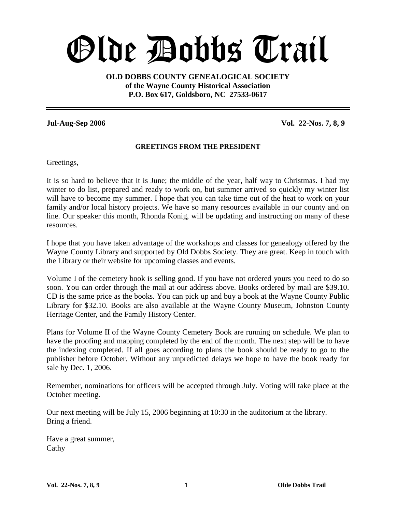# Olde Dobbs Trail

**OLD DOBBS COUNTY GENEALOGICAL SOCIETY of the Wayne County Historical Association P.O. Box 617, Goldsboro, NC 27533-0617**

**Jul-Aug-Sep 2006 Vol. 22-Nos. 7, 8, 9**

#### **GREETINGS FROM THE PRESIDENT**

Greetings,

It is so hard to believe that it is June; the middle of the year, half way to Christmas. I had my winter to do list, prepared and ready to work on, but summer arrived so quickly my winter list will have to become my summer. I hope that you can take time out of the heat to work on your family and/or local history projects. We have so many resources available in our county and on line. Our speaker this month, Rhonda Konig, will be updating and instructing on many of these resources.

I hope that you have taken advantage of the workshops and classes for genealogy offered by the Wayne County Library and supported by Old Dobbs Society. They are great. Keep in touch with the Library or their website for upcoming classes and events.

Volume I of the cemetery book is selling good. If you have not ordered yours you need to do so soon. You can order through the mail at our address above. Books ordered by mail are \$39.10. CD is the same price as the books. You can pick up and buy a book at the Wayne County Public Library for \$32.10. Books are also available at the Wayne County Museum, Johnston County Heritage Center, and the Family History Center.

Plans for Volume II of the Wayne County Cemetery Book are running on schedule. We plan to have the proofing and mapping completed by the end of the month. The next step will be to have the indexing completed. If all goes according to plans the book should be ready to go to the publisher before October. Without any unpredicted delays we hope to have the book ready for sale by Dec. 1, 2006.

Remember, nominations for officers will be accepted through July. Voting will take place at the October meeting.

Our next meeting will be July 15, 2006 beginning at 10:30 in the auditorium at the library. Bring a friend.

Have a great summer, Cathy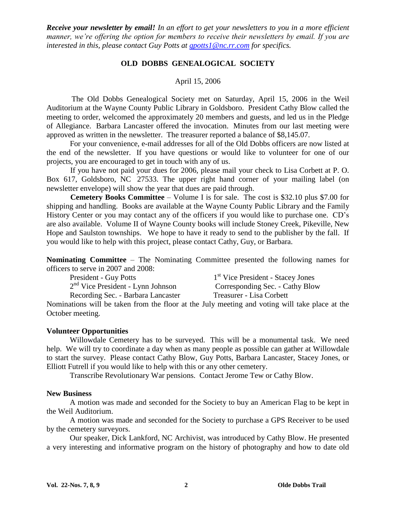*Receive your newsletter by email! In an effort to get your newsletters to you in a more efficient manner, we're offering the option for members to receive their newsletters by email. If you are interested in this, please contact Guy Potts at gpotts1@nc.rr.com for specifics.*

#### **OLD DOBBS GENEALOGICAL SOCIETY**

#### April 15, 2006

The Old Dobbs Genealogical Society met on Saturday, April 15, 2006 in the Weil Auditorium at the Wayne County Public Library in Goldsboro. President Cathy Blow called the meeting to order, welcomed the approximately 20 members and guests, and led us in the Pledge of Allegiance. Barbara Lancaster offered the invocation. Minutes from our last meeting were approved as written in the newsletter. The treasurer reported a balance of \$8,145.07.

For your convenience, e-mail addresses for all of the Old Dobbs officers are now listed at the end of the newsletter. If you have questions or would like to volunteer for one of our projects, you are encouraged to get in touch with any of us.

If you have not paid your dues for 2006, please mail your check to Lisa Corbett at P. O. Box 617, Goldsboro, NC 27533. The upper right hand corner of your mailing label (on newsletter envelope) will show the year that dues are paid through.

**Cemetery Books Committee** – Volume I is for sale. The cost is \$32.10 plus \$7.00 for shipping and handling. Books are available at the Wayne County Public Library and the Family History Center or you may contact any of the officers if you would like to purchase one. CD's are also available. Volume II of Wayne County books will include Stoney Creek, Pikeville, New Hope and Saulston townships. We hope to have it ready to send to the publisher by the fall. If you would like to help with this project, please contact Cathy, Guy, or Barbara.

**Nominating Committee** – The Nominating Committee presented the following names for officers to serve in 2007 and 2008:

President - Guy Potts 1<sup>st</sup> Vice President - Stacey Jones 2<sup>nd</sup> Vice President - Lynn Johnson Corresponding Sec. - Cathy Blow Recording Sec. - Barbara Lancaster Treasurer - Lisa Corbett

Nominations will be taken from the floor at the July meeting and voting will take place at the October meeting.

#### **Volunteer Opportunities**

Willowdale Cemetery has to be surveyed. This will be a monumental task. We need help. We will try to coordinate a day when as many people as possible can gather at Willowdale to start the survey. Please contact Cathy Blow, Guy Potts, Barbara Lancaster, Stacey Jones, or Elliott Futrell if you would like to help with this or any other cemetery.

Transcribe Revolutionary War pensions. Contact Jerome Tew or Cathy Blow.

#### **New Business**

A motion was made and seconded for the Society to buy an American Flag to be kept in the Weil Auditorium.

A motion was made and seconded for the Society to purchase a GPS Receiver to be used by the cemetery surveyors.

Our speaker, Dick Lankford, NC Archivist, was introduced by Cathy Blow. He presented a very interesting and informative program on the history of photography and how to date old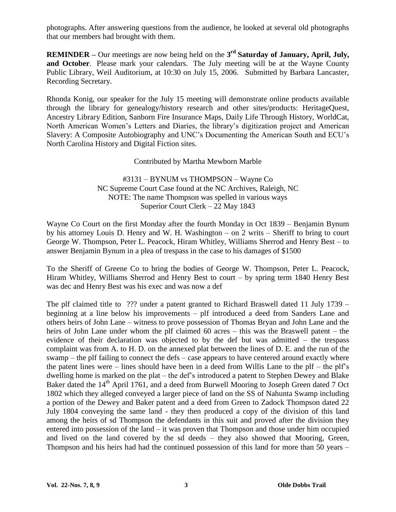photographs. After answering questions from the audience, he looked at several old photographs that our members had brought with them.

**REMINDER –**Our meetings are now being held on the **3 rd Saturday of January, April, July, and October**. Please mark your calendars. The July meeting will be at the Wayne County Public Library, Weil Auditorium, at 10:30 on July 15, 2006. Submitted by Barbara Lancaster, Recording Secretary.

Rhonda Konig, our speaker for the July 15 meeting will demonstrate online products available through the library for genealogy/history research and other sites/products: HeritageQuest, Ancestry Library Edition, Sanborn Fire Insurance Maps, Daily Life Through History, WorldCat, North American Women's Letters and Diaries, the library's digitization project and American Slavery: A Composite Autobiography and UNC's Documenting the American South and ECU's North Carolina History and Digital Fiction sites.

#### Contributed by Martha Mewborn Marble

#### #3131 –BYNUM vs THOMPSON –Wayne Co NC Supreme Court Case found at the NC Archives, Raleigh, NC NOTE: The name Thompson was spelled in various ways Superior Court Clerk –22 May 1843

Wayne Co Court on the first Monday after the fourth Monday in Oct 1839 – Benjamin Bynum by his attorney Louis D. Henry and W. H. Washington – on 2 writs – Sheriff to bring to court George W. Thompson, Peter L. Peacock, Hiram Whitley, Williams Sherrod and Henry Best –to answer Benjamin Bynum in a plea of trespass in the case to his damages of \$1500

To the Sheriff of Greene Co to bring the bodies of George W. Thompson, Peter L. Peacock, Hiram Whitley, Williams Sherrod and Henry Best to court – by spring term 1840 Henry Best was dec and Henry Best was his exec and was now a def

The plf claimed title to ??? under a patent granted to Richard Braswell dated 11 July 1739 – beginning at a line below his improvements – plf introduced a deed from Sanders Lane and others heirs of John Lane –witness to prove possession of Thomas Bryan and John Lane and the heirs of John Lane under whom the plf claimed  $60$  acres – this was the Braswell patent – the evidence of their declaration was objected to by the def but was admitted  $-$  the trespass complaint was from A. to H. D. on the annexed plat between the lines of D. E. and the run of the swamp – the plf failing to connect the defs – case appears to have centered around exactly where the patent lines were – lines should have been in a deed from Willis Lane to the plf – the plf's dwelling home is marked on the plat – the def's introduced a patent to Stephen Dewey and Blake Baker dated the 14<sup>th</sup> April 1761, and a deed from Burwell Mooring to Joseph Green dated 7 Oct 1802 which they alleged conveyed a larger piece of land on the SS of Nahunta Swamp including a portion of the Dewey and Baker patent and a deed from Green to Zadock Thompson dated 22 July 1804 conveying the same land - they then produced a copy of the division of this land among the heirs of sd Thompson the defendants in this suit and proved after the division they entered into possession of the land  $-$  it was proven that Thompson and those under him occupied and lived on the land covered by the sd deeds  $-$  they also showed that Mooring, Green, Thompson and his heirs had had the continued possession of this land for more than 50 years –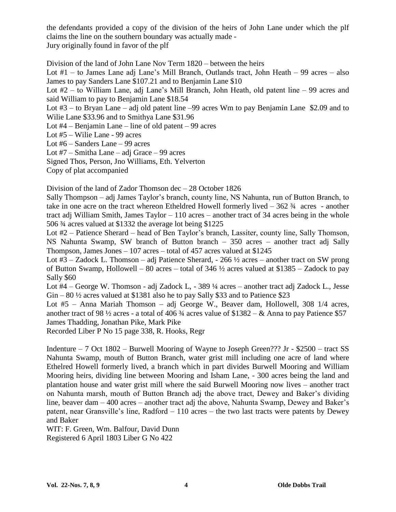the defendants provided a copy of the division of the heirs of John Lane under which the plf claims the line on the southern boundary was actually made - Jury originally found in favor of the plf

Division of the land of John Lane Nov Term 1820 – between the heirs Lot  $#1$  – to James Lane adj Lane's Mill Branch, Outlands tract, John Heath – 99 acres – also James to pay Sanders Lane \$107.21 and to Benjamin Lane \$10 Lot  $#2$  – to William Lane, adj Lane's Mill Branch, John Heath, old patent line – 99 acres and said William to pay to Benjamin Lane \$18.54 Lot  $#3$  – to Bryan Lane – adj old patent line –99 acres Wm to pay Benjamin Lane \$2.09 and to Wilie Lane \$33.96 and to Smithya Lane \$31.96 Lot  $#4$  – Benjamin Lane – line of old patent – 99 acres Lot #5 –Wilie Lane - 99 acres Lot  $#6 -$ Sanders Lane – 99 acres Lot  $#7$  – Smitha Lane – adj Grace – 99 acres Signed Thos, Person, Jno Williams, Eth. Yelverton

Copy of plat accompanied

Division of the land of Zador Thomson dec –28 October 1826

Sally Thompson – adj James Taylor's branch, county line, NS Nahunta, run of Button Branch, to take in one acre on the tract whereon Etheldred Howell formerly lived –362 ¾ acres - another tract adj William Smith, James Taylor  $-110$  acres – another tract of 34 acres being in the whole 506 ¾ acres valued at \$1332 the average lot being \$1225

Lot #2 – Patience Sherard – head of Ben Taylor's branch, Lassiter, county line, Sally Thomson, NS Nahunta Swamp, SW branch of Button branch  $-350$  acres  $-$  another tract adj Sally Thompson, James Jones – 107 acres – total of 457 acres valued at  $$1245$ 

Lot  $\sharp 3$  – Zadock L. Thomson – adj Patience Sherard, - 266  $\frac{1}{2}$  acres – another tract on SW prong of Button Swamp, Hollowell – 80 acres – total of 346  $\frac{1}{2}$  acres valued at \$1385 – Zadock to pay Sally \$60

Lot #4 – George W. Thomson - adj Zadock L, - 389 ¼ acres – another tract adj Zadock L., Jesse Gin –80 ½ acres valued at \$1381 also he to pay Sally \$33 and to Patience \$23

Lot  $#5$  – Anna Mariah Thomson – adj George W., Beaver dam, Hollowell, 308 1/4 acres, another tract of 98  $\frac{1}{2}$  acres - a total of 406  $\frac{3}{4}$  acres value of \$1382 – & Anna to pay Patience \$57 James Thadding, Jonathan Pike, Mark Pike

Recorded Liber P No 15 page 338, R. Hooks, Regr

Indenture – 7 Oct 1802 – Burwell Mooring of Wayne to Joseph Green??? Jr -  $$2500$  – tract SS Nahunta Swamp, mouth of Button Branch, water grist mill including one acre of land where Ethelred Howell formerly lived, a branch which in part divides Burwell Mooring and William Mooring heirs, dividing line between Mooring and Isham Lane, - 300 acres being the land and plantation house and water grist mill where the said Burwell Mooring now lives –another tract on Nahunta marsh, mouth of Button Branch adj the above tract, Dewey and Baker's dividing line, beaver dam  $-400$  acres – another tract adj the above, Nahunta Swamp, Dewey and Baker's patent, near Gransville's line, Radford – 110 acres – the two last tracts were patents by Dewey and Baker

WIT: F. Green, Wm. Balfour, David Dunn Registered 6 April 1803 Liber G No 422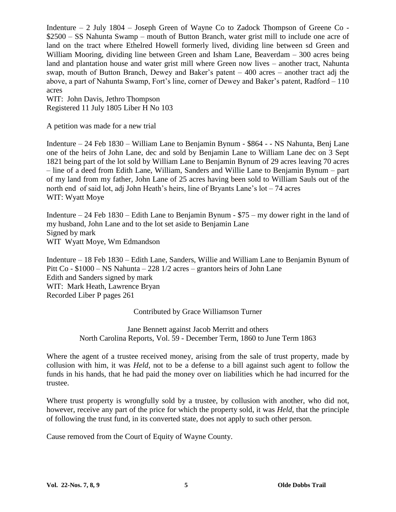Indenture – 2 July 1804 – Joseph Green of Wayne Co to Zadock Thompson of Greene Co -\$2500 – SS Nahunta Swamp – mouth of Button Branch, water grist mill to include one acre of land on the tract where Ethelred Howell formerly lived, dividing line between sd Green and William Mooring, dividing line between Green and Isham Lane, Beaverdam – 300 acres being land and plantation house and water grist mill where Green now lives – another tract, Nahunta swap, mouth of Button Branch, Dewey and Baker's patent  $-400$  acres – another tract adj the above, a part of Nahunta Swamp, Fort's line, corner of Dewey and Baker's patent, Radford – 110 acres

WIT: John Davis, Jethro Thompson Registered 11 July 1805 Liber H No 103

A petition was made for a new trial

Indenture –24 Feb 1830 –William Lane to Benjamin Bynum - \$864 - - NS Nahunta, Benj Lane one of the heirs of John Lane, dec and sold by Benjamin Lane to William Lane dec on 3 Sept 1821 being part of the lot sold by William Lane to Benjamin Bynum of 29 acres leaving 70 acres –line of a deed from Edith Lane, William, Sanders and Willie Lane to Benjamin Bynum –part of my land from my father, John Lane of 25 acres having been sold to William Sauls out of the north end of said lot, adj John Heath's heirs, line of Bryants Lane's lot  $-74$  acres WIT: Wyatt Moye

Indenture – 24 Feb 1830 – Edith Lane to Benjamin Bynum -  $$75 - my$  dower right in the land of my husband, John Lane and to the lot set aside to Benjamin Lane Signed by mark WIT Wyatt Moye, Wm Edmandson

Indenture –18 Feb 1830 –Edith Lane, Sanders, Willie and William Lane to Benjamin Bynum of Pitt Co -  $$1000 - NS$  Nahunta – 228 1/2 acres – grantors heirs of John Lane Edith and Sanders signed by mark WIT: Mark Heath, Lawrence Bryan Recorded Liber P pages 261

Contributed by Grace Williamson Turner

Jane Bennett against Jacob Merritt and others North Carolina Reports, Vol. 59 - December Term, 1860 to June Term 1863

Where the agent of a trustee received money, arising from the sale of trust property, made by collusion with him, it was *Held*, not to be a defense to a bill against such agent to follow the funds in his hands, that he had paid the money over on liabilities which he had incurred for the trustee.

Where trust property is wrongfully sold by a trustee, by collusion with another, who did not, however, receive any part of the price for which the property sold, it was *Held*, that the principle of following the trust fund, in its converted state, does not apply to such other person.

Cause removed from the Court of Equity of Wayne County.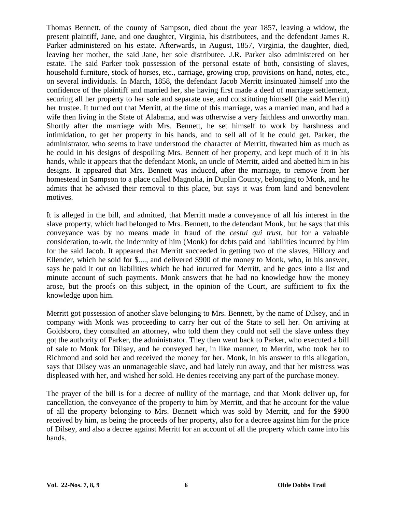Thomas Bennett, of the county of Sampson, died about the year 1857, leaving a widow, the present plaintiff, Jane, and one daughter, Virginia, his distributees, and the defendant James R. Parker administered on his estate. Afterwards, in August, 1857, Virginia, the daughter, died, leaving her mother, the said Jane, her sole distributee. J.R. Parker also administered on her estate. The said Parker took possession of the personal estate of both, consisting of slaves, household furniture, stock of horses, etc., carriage, growing crop, provisions on hand, notes, etc., on several individuals. In March, 1858, the defendant Jacob Merritt insinuated himself into the confidence of the plaintiff and married her, she having first made a deed of marriage settlement, securing all her property to her sole and separate use, and constituting himself (the said Merritt) her trustee. It turned out that Merritt, at the time of this marriage, was a married man, and had a wife then living in the State of Alabama, and was otherwise a very faithless and unworthy man. Shortly after the marriage with Mrs. Bennett, he set himself to work by harshness and intimidation, to get her property in his hands, and to sell all of it he could get. Parker, the administrator, who seems to have understood the character of Merritt, thwarted him as much as he could in his designs of despoiling Mrs. Bennett of her property, and kept much of it in his hands, while it appears that the defendant Monk, an uncle of Merritt, aided and abetted him in his designs. It appeared that Mrs. Bennett was induced, after the marriage, to remove from her homestead in Sampson to a place called Magnolia, in Duplin County, belonging to Monk, and he admits that he advised their removal to this place, but says it was from kind and benevolent motives.

It is alleged in the bill, and admitted, that Merritt made a conveyance of all his interest in the slave property, which had belonged to Mrs. Bennett, to the defendant Monk, but he says that this conveyance was by no means made in fraud of the *cestui qui trust*, but for a valuable consideration, to-wit, the indemnity of him (Monk) for debts paid and liabilities incurred by him for the said Jacob. It appeared that Merritt succeeded in getting two of the slaves, Hillory and Ellender, which he sold for \$...., and delivered \$900 of the money to Monk, who, in his answer, says he paid it out on liabilities which he had incurred for Merritt, and he goes into a list and minute account of such payments. Monk answers that he had no knowledge how the money arose, but the proofs on this subject, in the opinion of the Court, are sufficient to fix the knowledge upon him.

Merritt got possession of another slave belonging to Mrs. Bennett, by the name of Dilsey, and in company with Monk was proceeding to carry her out of the State to sell her. On arriving at Goldsboro, they consulted an attorney, who told them they could not sell the slave unless they got the authority of Parker, the administrator. They then went back to Parker, who executed a bill of sale to Monk for Dilsey, and he conveyed her, in like manner, to Merritt, who took her to Richmond and sold her and received the money for her. Monk, in his answer to this allegation, says that Dilsey was an unmanageable slave, and had lately run away, and that her mistress was displeased with her, and wished her sold. He denies receiving any part of the purchase money.

The prayer of the bill is for a decree of nullity of the marriage, and that Monk deliver up, for cancellation, the conveyance of the property to him by Merritt, and that he account for the value of all the property belonging to Mrs. Bennett which was sold by Merritt, and for the \$900 received by him, as being the proceeds of her property, also for a decree against him for the price of Dilsey, and also a decree against Merritt for an account of all the property which came into his hands.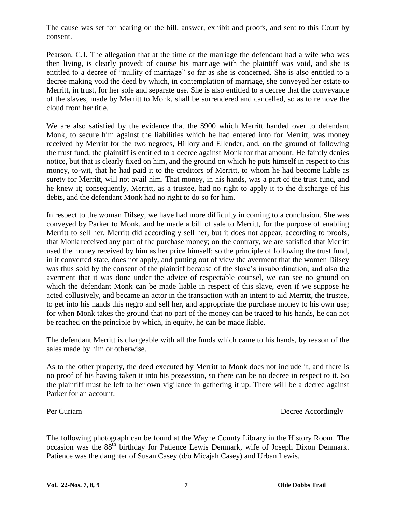surety for Merritt, will not avail him. That money, in his hands, was a part of the trust fund, and he knew it; consequently, Merritt, as a trustee, had no right to apply it to the discharge of his

debts, and the defendant Monk had no right to do so for him.

In respect to the woman Dilsey, we have had more difficulty in coming to a conclusion. She was conveyed by Parker to Monk, and he made a bill of sale to Merritt, for the purpose of enabling Merritt to sell her. Merritt did accordingly sell her, but it does not appear, according to proofs, that Monk received any part of the purchase money; on the contrary, we are satisfied that Merritt used the money received by him as her price himself; so the principle of following the trust fund, in it converted state, does not apply, and putting out of view the averment that the women Dilsey was thus sold by the consent of the plaintiff because of the slave's insubordination, and also the averment that it was done under the advice of respectable counsel, we can see no ground on which the defendant Monk can be made liable in respect of this slave, even if we suppose he acted collusively, and became an actor in the transaction with an intent to aid Merritt, the trustee, to get into his hands this negro and sell her, and appropriate the purchase money to his own use; for when Monk takes the ground that no part of the money can be traced to his hands, he can not be reached on the principle by which, in equity, he can be made liable.

The cause was set for hearing on the bill, answer, exhibit and proofs, and sent to this Court by

Pearson, C.J. The allegation that at the time of the marriage the defendant had a wife who was then living, is clearly proved; of course his marriage with the plaintiff was void, and she is entitled to a decree of "nullity of marriage" so far as she is concerned. She is also entitled to a decree making void the deed by which, in contemplation of marriage, she conveyed her estate to Merritt, in trust, for her sole and separate use. She is also entitled to a decree that the conveyance of the slaves, made by Merritt to Monk, shall be surrendered and cancelled, so as to remove the

We are also satisfied by the evidence that the \$900 which Merritt handed over to defendant Monk, to secure him against the liabilities which he had entered into for Merritt, was money received by Merritt for the two negroes, Hillory and Ellender, and, on the ground of following the trust fund, the plaintiff is entitled to a decree against Monk for that amount. He faintly denies notice, but that is clearly fixed on him, and the ground on which he puts himself in respect to this money, to-wit, that he had paid it to the creditors of Merritt, to whom he had become liable as

The defendant Merritt is chargeable with all the funds which came to his hands, by reason of the sales made by him or otherwise.

As to the other property, the deed executed by Merritt to Monk does not include it, and there is no proof of his having taken it into his possession, so there can be no decree in respect to it. So the plaintiff must be left to her own vigilance in gathering it up. There will be a decree against Parker for an account.

consent.

cloud from her title.

The following photograph can be found at the Wayne County Library in the History Room. The occasion was the 88<sup>th</sup> birthday for Patience Lewis Denmark, wife of Joseph Dixon Denmark. Patience was the daughter of Susan Casey (d/o Micajah Casey) and Urban Lewis.

Per Curiam Decree Accordingly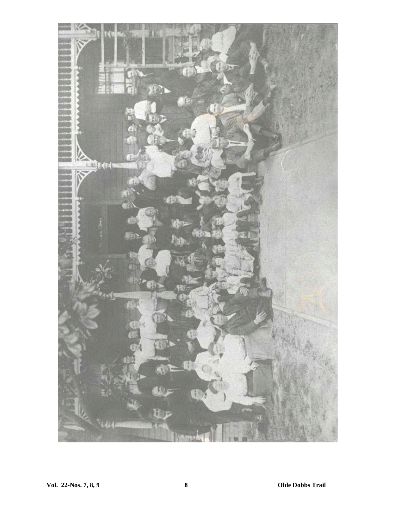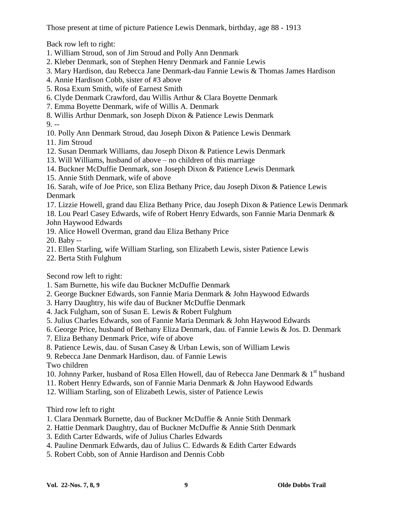Those present at time of picture Patience Lewis Denmark, birthday, age 88 - 1913

Back row left to right:

- 1. William Stroud, son of Jim Stroud and Polly Ann Denmark
- 2. Kleber Denmark, son of Stephen Henry Denmark and Fannie Lewis
- 3. Mary Hardison, dau Rebecca Jane Denmark-dau Fannie Lewis & Thomas James Hardison
- 4. Annie Hardison Cobb, sister of #3 above
- 5. Rosa Exum Smith, wife of Earnest Smith
- 6. Clyde Denmark Crawford, dau Willis Arthur & Clara Boyette Denmark
- 7. Emma Boyette Denmark, wife of Willis A. Denmark
- 8. Willis Arthur Denmark, son Joseph Dixon & Patience Lewis Denmark

 $9. - -$ 

10. Polly Ann Denmark Stroud, dau Joseph Dixon & Patience Lewis Denmark

11. Jim Stroud

- 12. Susan Denmark Williams, dau Joseph Dixon & Patience Lewis Denmark
- 13. Will Williams, husband of above no children of this marriage
- 14. Buckner McDuffie Denmark, son Joseph Dixon & Patience Lewis Denmark
- 15. Annie Stith Denmark, wife of above

16. Sarah, wife of Joe Price, son Eliza Bethany Price, dau Joseph Dixon & Patience Lewis Denmark

- 17. Lizzie Howell, grand dau Eliza Bethany Price, dau Joseph Dixon & Patience Lewis Denmark
- 18. Lou Pearl Casey Edwards, wife of Robert Henry Edwards, son Fannie Maria Denmark & John Haywood Edwards
- 19. Alice Howell Overman, grand dau Eliza Bethany Price

20. Baby --

21. Ellen Starling, wife William Starling, son Elizabeth Lewis, sister Patience Lewis

22. Berta Stith Fulghum

### Second row left to right:

- 1. Sam Burnette, his wife dau Buckner McDuffie Denmark
- 2. George Buckner Edwards, son Fannie Maria Denmark & John Haywood Edwards
- 3. Harry Daughtry, his wife dau of Buckner McDuffie Denmark
- 4. Jack Fulgham, son of Susan E. Lewis & Robert Fulghum
- 5. Julius Charles Edwards, son of Fannie Maria Denmark & John Haywood Edwards
- 6. George Price, husband of Bethany Eliza Denmark, dau. of Fannie Lewis & Jos. D. Denmark
- 7. Eliza Bethany Denmark Price, wife of above
- 8. Patience Lewis, dau. of Susan Casey & Urban Lewis, son of William Lewis
- 9. Rebecca Jane Denmark Hardison, dau. of Fannie Lewis

Two children

- 10. Johnny Parker, husband of Rosa Ellen Howell, dau of Rebecca Jane Denmark  $\& 1<sup>st</sup>$  husband
- 11. Robert Henry Edwards, son of Fannie Maria Denmark & John Haywood Edwards
- 12. William Starling, son of Elizabeth Lewis, sister of Patience Lewis

Third row left to right

- 1. Clara Denmark Burnette, dau of Buckner McDuffie & Annie Stith Denmark
- 2. Hattie Denmark Daughtry, dau of Buckner McDuffie & Annie Stith Denmark
- 3. Edith Carter Edwards, wife of Julius Charles Edwards
- 4. Pauline Denmark Edwards, dau of Julius C. Edwards & Edith Carter Edwards
- 5. Robert Cobb, son of Annie Hardison and Dennis Cobb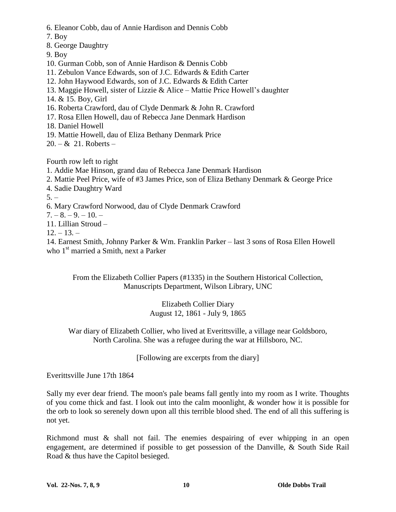- 6. Eleanor Cobb, dau of Annie Hardison and Dennis Cobb
- 7. Boy
- 8. George Daughtry

9. Boy

- 10. Gurman Cobb, son of Annie Hardison & Dennis Cobb
- 11. Zebulon Vance Edwards, son of J.C. Edwards & Edith Carter
- 12. John Haywood Edwards, son of J.C. Edwards & Edith Carter
- 13. Maggie Howell, sister of Lizzie & Alice Mattie Price Howell's daughter
- 14. & 15. Boy, Girl
- 16. Roberta Crawford, dau of Clyde Denmark & John R. Crawford
- 17. Rosa Ellen Howell, dau of Rebecca Jane Denmark Hardison
- 18. Daniel Howell
- 19. Mattie Howell, dau of Eliza Bethany Denmark Price
- $20. & 21.$  Roberts –

Fourth row left to right

- 1. Addie Mae Hinson, grand dau of Rebecca Jane Denmark Hardison
- 2. Mattie Peel Price, wife of #3 James Price, son of Eliza Bethany Denmark & George Price
- 4. Sadie Daughtry Ward

 $5. -$ 

- 6. Mary Crawford Norwood, dau of Clyde Denmark Crawford
- $7. 8. 9. -10. -$
- 11. Lillian Stroud –

 $12. - 13. -$ 

14. Earnest Smith, Johnny Parker & Wm. Franklin Parker –last 3 sons of Rosa Ellen Howell who 1<sup>st</sup> married a Smith, next a Parker

From the Elizabeth Collier Papers (#1335) in the Southern Historical Collection, Manuscripts Department, Wilson Library, UNC

> Elizabeth Collier Diary August 12, 1861 - July 9, 1865

War diary of Elizabeth Collier, who lived at Everittsville, a village near Goldsboro, North Carolina. She was a refugee during the war at Hillsboro, NC.

[Following are excerpts from the diary]

Everittsville June 17th 1864

Sally my ever dear friend. The moon's pale beams fall gently into my room as I write. Thoughts of you come thick and fast. I look out into the calm moonlight, & wonder how it is possible for the orb to look so serenely down upon all this terrible blood shed. The end of all this suffering is not yet.

Richmond must  $\&$  shall not fail. The enemies despairing of ever whipping in an open engagement, are determined if possible to get possession of the Danville, & South Side Rail Road & thus have the Capitol besieged.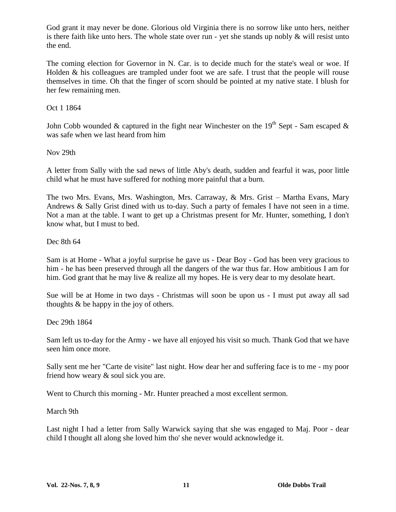God grant it may never be done. Glorious old Virginia there is no sorrow like unto hers, neither is there faith like unto hers. The whole state over run - yet she stands up nobly & will resist unto the end.

The coming election for Governor in N. Car. is to decide much for the state's weal or woe. If Holden  $\&$  his colleagues are trampled under foot we are safe. I trust that the people will rouse themselves in time. Oh that the finger of scorn should be pointed at my native state. I blush for her few remaining men.

Oct 1 1864

John Cobb wounded & captured in the fight near Winchester on the 19<sup>th</sup> Sept - Sam escaped & was safe when we last heard from him

Nov 29th

A letter from Sally with the sad news of little Aby's death, sudden and fearful it was, poor little child what he must have suffered for nothing more painful that a burn.

The two Mrs. Evans, Mrs. Washington, Mrs. Carraway,  $\&$  Mrs. Grist – Martha Evans, Mary Andrews & Sally Grist dined with us to-day. Such a party of females I have not seen in a time. Not a man at the table. I want to get up a Christmas present for Mr. Hunter, something, I don't know what, but I must to bed.

Dec 8th 64

Sam is at Home - What a joyful surprise he gave us - Dear Boy - God has been very gracious to him - he has been preserved through all the dangers of the war thus far. How ambitious I am for him. God grant that he may live & realize all my hopes. He is very dear to my desolate heart.

Sue will be at Home in two days - Christmas will soon be upon us - I must put away all sad thoughts & be happy in the joy of others.

Dec 29th 1864

Sam left us to-day for the Army - we have all enjoyed his visit so much. Thank God that we have seen him once more.

Sally sent me her "Carte de visite" last night. How dear her and suffering face is to me - my poor friend how weary & soul sick you are.

Went to Church this morning - Mr. Hunter preached a most excellent sermon.

March 9th

Last night I had a letter from Sally Warwick saying that she was engaged to Maj. Poor - dear child I thought all along she loved him tho' she never would acknowledge it.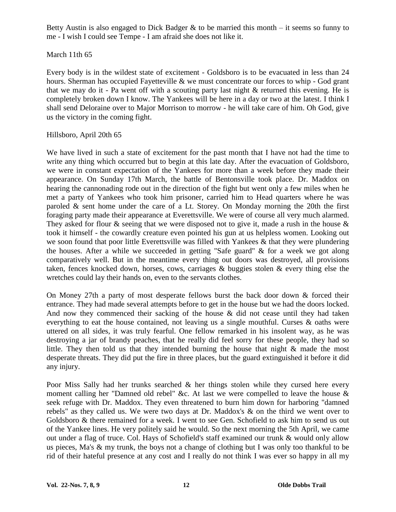Betty Austin is also engaged to Dick Badger  $\&$  to be married this month – it seems so funny to me - I wish I could see Tempe - I am afraid she does not like it.

#### March 11th 65

Every body is in the wildest state of excitement - Goldsboro is to be evacuated in less than 24 hours. Sherman has occupied Fayetteville & we must concentrate our forces to whip - God grant that we may do it - Pa went off with a scouting party last night  $\&$  returned this evening. He is completely broken down I know. The Yankees will be here in a day or two at the latest. I think I shall send Deloraine over to Major Morrison to morrow - he will take care of him. Oh God, give us the victory in the coming fight.

#### Hillsboro, April 20th 65

We have lived in such a state of excitement for the past month that I have not had the time to write any thing which occurred but to begin at this late day. After the evacuation of Goldsboro, we were in constant expectation of the Yankees for more than a week before they made their appearance. On Sunday 17th March, the battle of Bentonsville took place. Dr. Maddox on hearing the cannonading rode out in the direction of the fight but went only a few miles when he met a party of Yankees who took him prisoner, carried him to Head quarters where he was paroled & sent home under the care of a Lt. Storey. On Monday morning the 20th the first foraging party made their appearance at Everettsville. We were of course all very much alarmed. They asked for flour  $\&$  seeing that we were disposed not to give it, made a rush in the house  $\&$ took it himself - the cowardly creature even pointed his gun at us helpless women. Looking out we soon found that poor little Everettsville was filled with Yankees & that they were plundering the houses. After a while we succeeded in getting "Safe guard" & for a week we got along comparatively well. But in the meantime every thing out doors was destroyed, all provisions taken, fences knocked down, horses, cows, carriages & buggies stolen & every thing else the wretches could lay their hands on, even to the servants clothes.

On Money 27th a party of most desperate fellows burst the back door down & forced their entrance. They had made several attempts before to get in the house but we had the doors locked. And now they commenced their sacking of the house & did not cease until they had taken everything to eat the house contained, not leaving us a single mouthful. Curses & oaths were uttered on all sides, it was truly fearful. One fellow remarked in his insolent way, as he was destroying a jar of brandy peaches, that he really did feel sorry for these people, they had so little. They then told us that they intended burning the house that night & made the most desperate threats. They did put the fire in three places, but the guard extinguished it before it did any injury.

Poor Miss Sally had her trunks searched & her things stolen while they cursed here every moment calling her "Damned old rebel" &c. At last we were compelled to leave the house & seek refuge with Dr. Maddox. They even threatened to burn him down for harboring "damned rebels" as they called us. We were two days at Dr. Maddox's & on the third we went over to Goldsboro & there remained for a week. I went to see Gen. Schofield to ask him to send us out of the Yankee lines. He very politely said he would. So the next morning the 5th April, we came out under a flag of truce. Col. Hays of Schofield's staff examined our trunk & would only allow us pieces, Ma's & my trunk, the boys not a change of clothing but I was only too thankful to be rid of their hateful presence at any cost and I really do not think I was ever so happy in all my